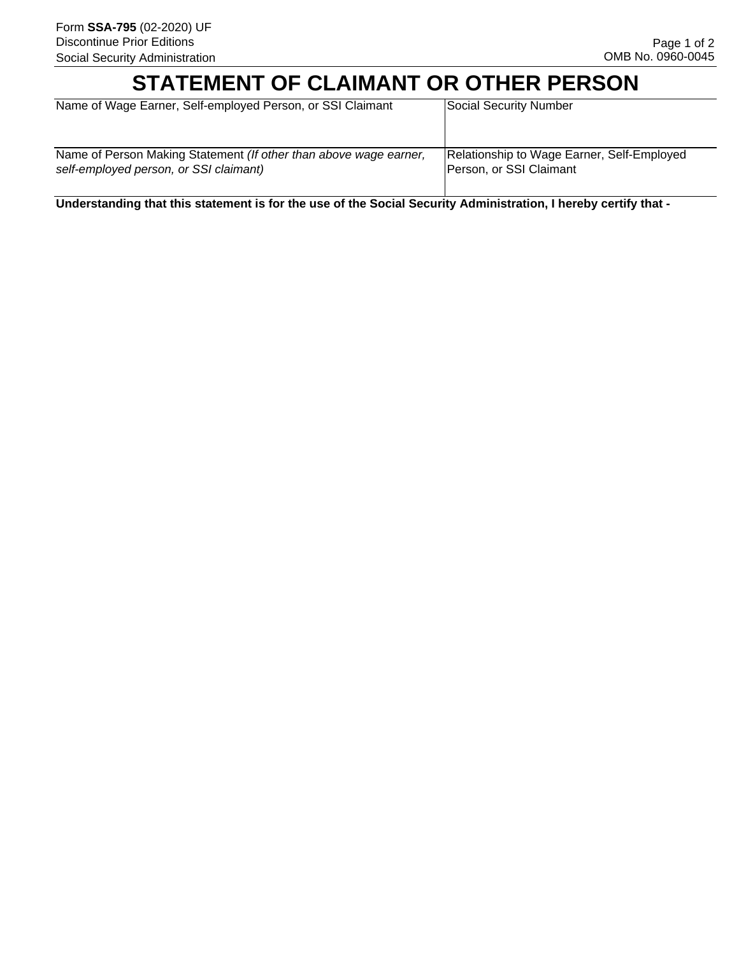# **STATEMENT OF CLAIMANT OR OTHER PERSON**

| Name of Wage Earner, Self-employed Person, or SSI Claimant        | Social Security Number                     |
|-------------------------------------------------------------------|--------------------------------------------|
| Name of Person Making Statement (If other than above wage earner, | Relationship to Wage Earner, Self-Employed |
| self-employed person, or SSI claimant)                            | Person, or SSI Claimant                    |

**Understanding that this statement is for the use of the Social Security Administration, I hereby certify that -**